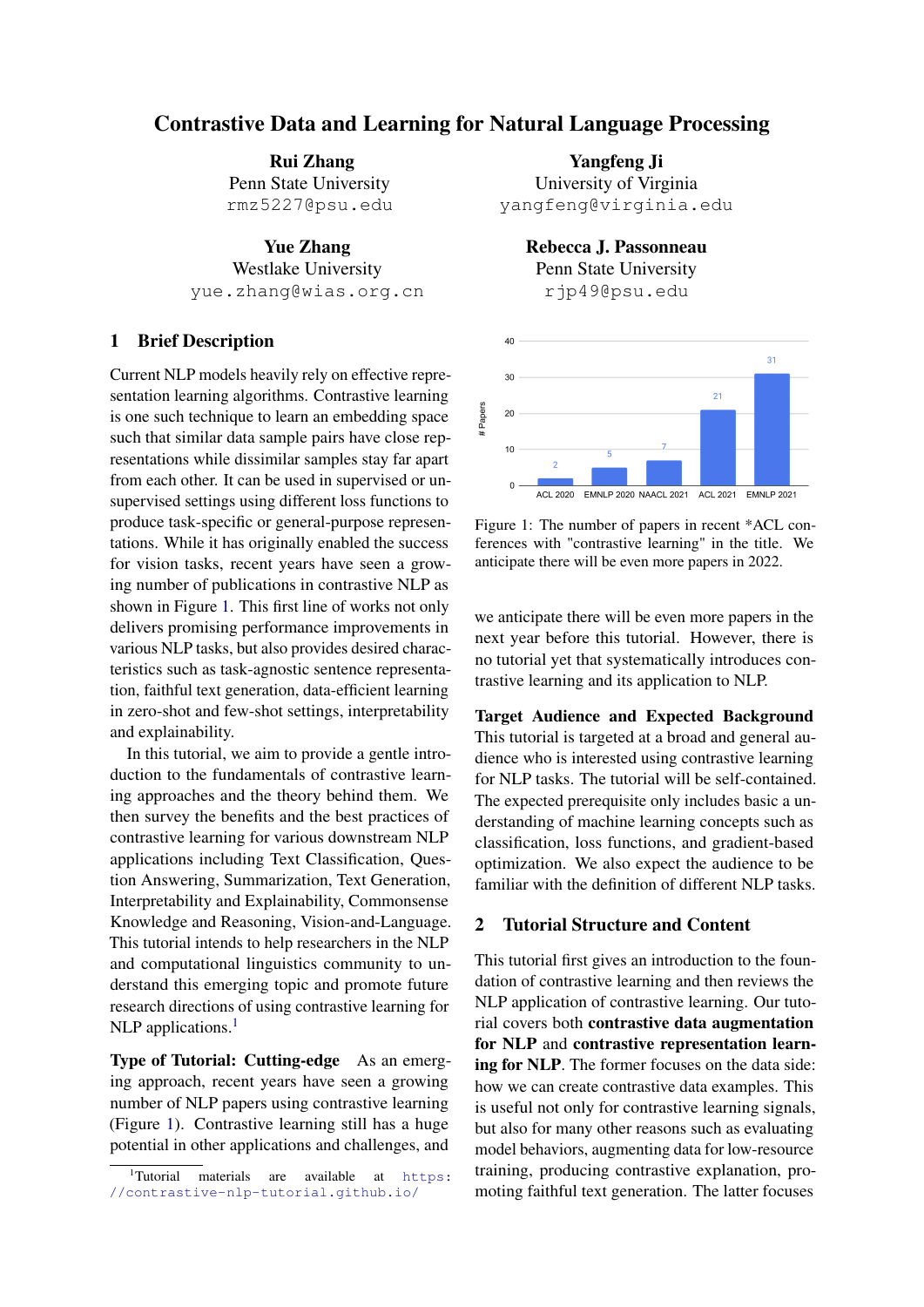# Contrastive Data and Learning for Natural Language Processing

Rui Zhang Penn State University rmz5227@psu.edu

Yue Zhang Westlake University yue.zhang@wias.org.cn

# 1 Brief Description

Current NLP models heavily rely on effective representation learning algorithms. Contrastive learning is one such technique to learn an embedding space such that similar data sample pairs have close representations while dissimilar samples stay far apart from each other. It can be used in supervised or unsupervised settings using different loss functions to produce task-specific or general-purpose representations. While it has originally enabled the success for vision tasks, recent years have seen a growing number of publications in contrastive NLP as shown in Figure [1.](#page-0-0) This first line of works not only delivers promising performance improvements in various NLP tasks, but also provides desired characteristics such as task-agnostic sentence representation, faithful text generation, data-efficient learning in zero-shot and few-shot settings, interpretability and explainability.

In this tutorial, we aim to provide a gentle introduction to the fundamentals of contrastive learning approaches and the theory behind them. We then survey the benefits and the best practices of contrastive learning for various downstream NLP applications including Text Classification, Question Answering, Summarization, Text Generation, Interpretability and Explainability, Commonsense Knowledge and Reasoning, Vision-and-Language. This tutorial intends to help researchers in the NLP and computational linguistics community to understand this emerging topic and promote future research directions of using contrastive learning for NLP applications.<sup>[1](#page-0-1)</sup>

Type of Tutorial: Cutting-edge As an emerging approach, recent years have seen a growing number of NLP papers using contrastive learning (Figure [1\)](#page-0-0). Contrastive learning still has a huge potential in other applications and challenges, and

Yangfeng Ji University of Virginia yangfeng@virginia.edu

> Rebecca J. Passonneau Penn State University rjp49@psu.edu

<span id="page-0-0"></span>

Figure 1: The number of papers in recent \*ACL conferences with "contrastive learning" in the title. We anticipate there will be even more papers in 2022.

we anticipate there will be even more papers in the next year before this tutorial. However, there is no tutorial yet that systematically introduces contrastive learning and its application to NLP.

Target Audience and Expected Background This tutorial is targeted at a broad and general audience who is interested using contrastive learning for NLP tasks. The tutorial will be self-contained. The expected prerequisite only includes basic a understanding of machine learning concepts such as classification, loss functions, and gradient-based optimization. We also expect the audience to be familiar with the definition of different NLP tasks.

### 2 Tutorial Structure and Content

This tutorial first gives an introduction to the foundation of contrastive learning and then reviews the NLP application of contrastive learning. Our tutorial covers both contrastive data augmentation for NLP and contrastive representation learning for NLP. The former focuses on the data side: how we can create contrastive data examples. This is useful not only for contrastive learning signals, but also for many other reasons such as evaluating model behaviors, augmenting data for low-resource training, producing contrastive explanation, promoting faithful text generation. The latter focuses

<span id="page-0-1"></span><sup>&</sup>lt;sup>1</sup>Tutorial materials are available at [https:](https://contrastive-nlp-tutorial.github.io/) [//contrastive-nlp-tutorial.github.io/](https://contrastive-nlp-tutorial.github.io/)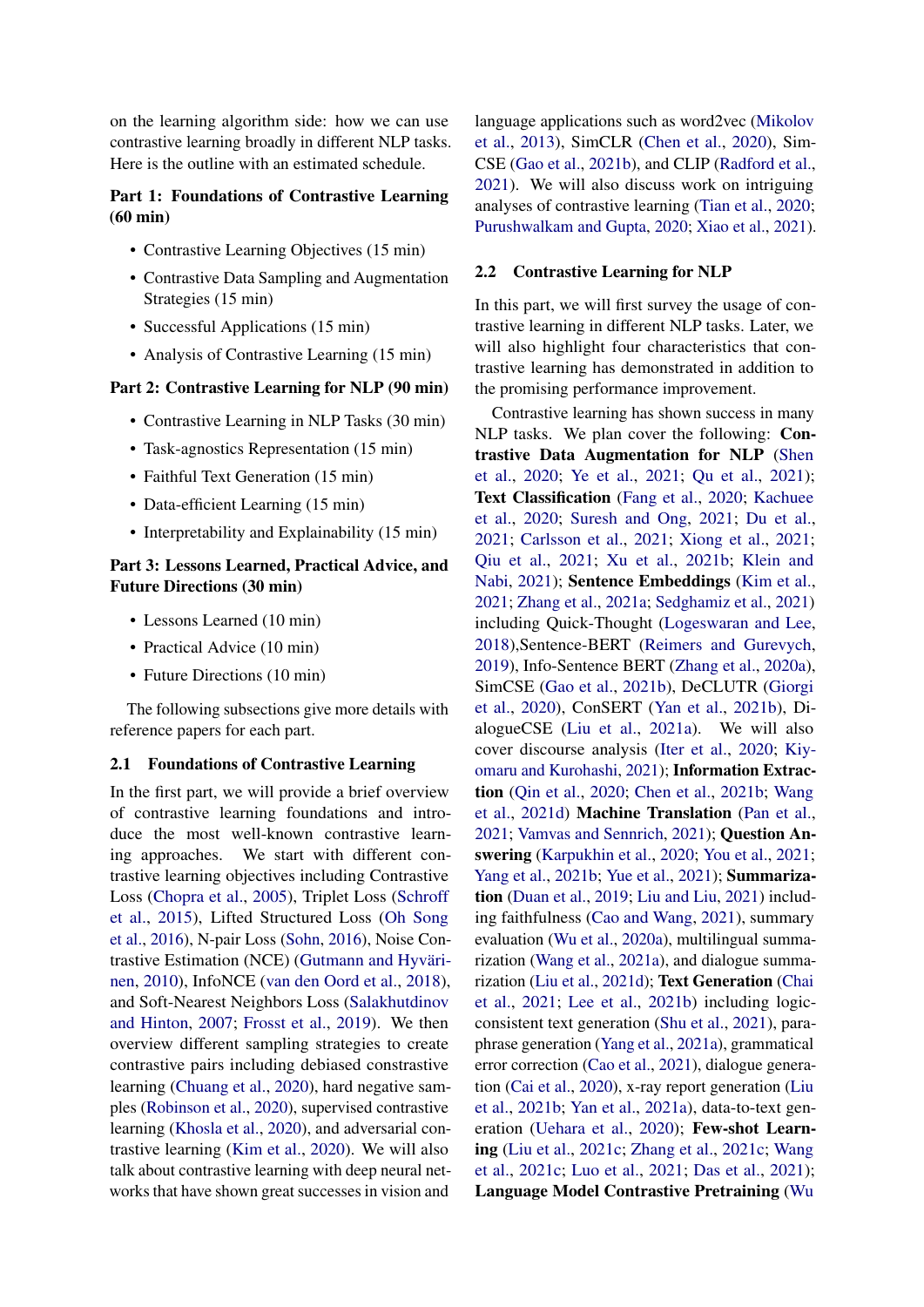on the learning algorithm side: how we can use contrastive learning broadly in different NLP tasks. Here is the outline with an estimated schedule.

# Part 1: Foundations of Contrastive Learning (60 min)

- Contrastive Learning Objectives (15 min)
- Contrastive Data Sampling and Augmentation Strategies (15 min)
- Successful Applications (15 min)
- Analysis of Contrastive Learning (15 min)

#### Part 2: Contrastive Learning for NLP (90 min)

- Contrastive Learning in NLP Tasks (30 min)
- Task-agnostics Representation (15 min)
- Faithful Text Generation (15 min)
- Data-efficient Learning (15 min)
- Interpretability and Explainability (15 min)

### Part 3: Lessons Learned, Practical Advice, and Future Directions (30 min)

- Lessons Learned (10 min)
- Practical Advice (10 min)
- Future Directions (10 min)

The following subsections give more details with reference papers for each part.

#### 2.1 Foundations of Contrastive Learning

In the first part, we will provide a brief overview of contrastive learning foundations and introduce the most well-known contrastive learning approaches. We start with different contrastive learning objectives including Contrastive Loss [\(Chopra et al.,](#page-4-0) [2005\)](#page-4-0), Triplet Loss [\(Schroff](#page-6-0) [et al.,](#page-6-0) [2015\)](#page-6-0), Lifted Structured Loss [\(Oh Song](#page-6-1) [et al.,](#page-6-1) [2016\)](#page-6-1), N-pair Loss [\(Sohn,](#page-7-0) [2016\)](#page-7-0), Noise Contrastive Estimation (NCE) [\(Gutmann and Hyväri](#page-4-1)[nen,](#page-4-1) [2010\)](#page-4-1), InfoNCE [\(van den Oord et al.,](#page-7-1) [2018\)](#page-7-1), and Soft-Nearest Neighbors Loss [\(Salakhutdinov](#page-6-2) [and Hinton,](#page-6-2) [2007;](#page-6-2) [Frosst et al.,](#page-4-2) [2019\)](#page-4-2). We then overview different sampling strategies to create contrastive pairs including debiased constrastive learning [\(Chuang et al.,](#page-4-3) [2020\)](#page-4-3), hard negative samples [\(Robinson et al.,](#page-6-3) [2020\)](#page-6-3), supervised contrastive learning [\(Khosla et al.,](#page-5-0) [2020\)](#page-5-0), and adversarial contrastive learning [\(Kim et al.,](#page-5-1) [2020\)](#page-5-1). We will also talk about contrastive learning with deep neural networks that have shown great successes in vision and

language applications such as word2vec [\(Mikolov](#page-6-4) [et al.,](#page-6-4) [2013\)](#page-6-4), SimCLR [\(Chen et al.,](#page-4-4) [2020\)](#page-4-4), Sim-CSE [\(Gao et al.,](#page-4-5) [2021b\)](#page-4-5), and CLIP [\(Radford et al.,](#page-6-5) [2021\)](#page-6-5). We will also discuss work on intriguing analyses of contrastive learning [\(Tian et al.,](#page-7-2) [2020;](#page-7-2) [Purushwalkam and Gupta,](#page-6-6) [2020;](#page-6-6) [Xiao et al.,](#page-7-3) [2021\)](#page-7-3).

### 2.2 Contrastive Learning for NLP

In this part, we will first survey the usage of contrastive learning in different NLP tasks. Later, we will also highlight four characteristics that contrastive learning has demonstrated in addition to the promising performance improvement.

Contrastive learning has shown success in many NLP tasks. We plan cover the following: Contrastive Data Augmentation for NLP [\(Shen](#page-7-4) [et al.,](#page-7-4) [2020;](#page-7-4) [Ye et al.,](#page-7-5) [2021;](#page-7-5) [Qu et al.,](#page-6-7) [2021\)](#page-6-7); Text Classification [\(Fang et al.,](#page-4-6) [2020;](#page-4-6) [Kachuee](#page-5-2) [et al.,](#page-5-2) [2020;](#page-5-2) [Suresh and Ong,](#page-7-6) [2021;](#page-7-6) [Du et al.,](#page-4-7) [2021;](#page-4-7) [Carlsson et al.,](#page-4-8) [2021;](#page-4-8) [Xiong et al.,](#page-7-7) [2021;](#page-7-7) [Qiu et al.,](#page-6-8) [2021;](#page-6-8) [Xu et al.,](#page-7-8) [2021b;](#page-7-8) [Klein and](#page-5-3) [Nabi,](#page-5-3) [2021\)](#page-5-3); Sentence Embeddings [\(Kim et al.,](#page-5-4) [2021;](#page-5-4) [Zhang et al.,](#page-8-0) [2021a;](#page-8-0) [Sedghamiz et al.,](#page-6-9) [2021\)](#page-6-9) including Quick-Thought [\(Logeswaran and Lee,](#page-5-5) [2018\)](#page-5-5),Sentence-BERT [\(Reimers and Gurevych,](#page-6-10) [2019\)](#page-6-10), Info-Sentence BERT [\(Zhang et al.,](#page-8-1) [2020a\)](#page-8-1), SimCSE [\(Gao et al.,](#page-4-5) [2021b\)](#page-4-5), DeCLUTR [\(Giorgi](#page-4-9) [et al.,](#page-4-9) [2020\)](#page-4-9), ConSERT [\(Yan et al.,](#page-7-9) [2021b\)](#page-7-9), DialogueCSE [\(Liu et al.,](#page-5-6) [2021a\)](#page-5-6). We will also cover discourse analysis [\(Iter et al.,](#page-5-7) [2020;](#page-5-7) [Kiy](#page-5-8)[omaru and Kurohashi,](#page-5-8) [2021\)](#page-5-8); Information Extraction [\(Qin et al.,](#page-6-11) [2020;](#page-6-11) [Chen et al.,](#page-4-10) [2021b;](#page-4-10) [Wang](#page-7-10) [et al.,](#page-7-10) [2021d\)](#page-7-10) Machine Translation [\(Pan et al.,](#page-6-12) [2021;](#page-6-12) [Vamvas and Sennrich,](#page-7-11) [2021\)](#page-7-11); Question Answering [\(Karpukhin et al.,](#page-5-9) [2020;](#page-5-9) [You et al.,](#page-8-2) [2021;](#page-8-2) [Yang et al.,](#page-7-12) [2021b;](#page-7-12) [Yue et al.,](#page-8-3) [2021\)](#page-8-3); Summarization [\(Duan et al.,](#page-4-11) [2019;](#page-4-11) [Liu and Liu,](#page-5-10) [2021\)](#page-5-10) including faithfulness [\(Cao and Wang,](#page-4-12) [2021\)](#page-4-12), summary evaluation [\(Wu et al.,](#page-7-13) [2020a\)](#page-7-13), multilingual summarization [\(Wang et al.,](#page-7-14) [2021a\)](#page-7-14), and dialogue summarization [\(Liu et al.,](#page-5-11) [2021d\)](#page-5-11); Text Generation [\(Chai](#page-4-13) [et al.,](#page-4-13) [2021;](#page-4-13) [Lee et al.,](#page-5-12) [2021b\)](#page-5-12) including logicconsistent text generation [\(Shu et al.,](#page-7-15) [2021\)](#page-7-15), paraphrase generation [\(Yang et al.,](#page-7-16) [2021a\)](#page-7-16), grammatical error correction [\(Cao et al.,](#page-4-14) [2021\)](#page-4-14), dialogue generation [\(Cai et al.,](#page-3-0) [2020\)](#page-3-0), x-ray report generation [\(Liu](#page-5-13) [et al.,](#page-5-13) [2021b;](#page-5-13) [Yan et al.,](#page-7-17) [2021a\)](#page-7-17), data-to-text generation [\(Uehara et al.,](#page-7-18) [2020\)](#page-7-18); Few-shot Learning [\(Liu et al.,](#page-5-14) [2021c;](#page-5-14) [Zhang et al.,](#page-8-4) [2021c;](#page-8-4) [Wang](#page-7-19) [et al.,](#page-7-19) [2021c;](#page-7-19) [Luo et al.,](#page-5-15) [2021;](#page-5-15) [Das et al.,](#page-4-15) [2021\)](#page-4-15); Language Model Contrastive Pretraining [\(Wu](#page-7-20)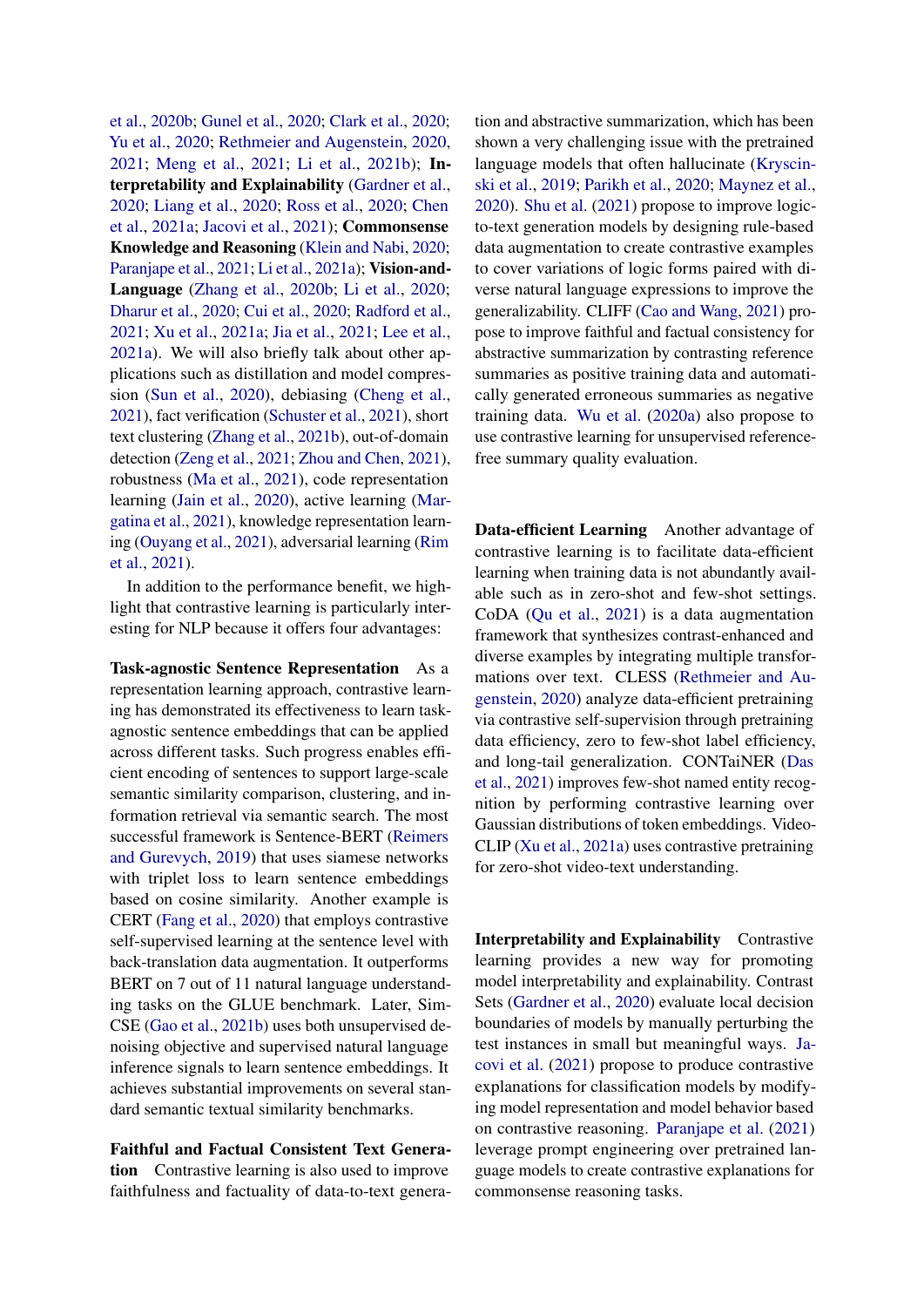[et al.,](#page-7-20) [2020b;](#page-7-20) [Gunel et al.,](#page-4-16) [2020;](#page-4-16) [Clark et al.,](#page-4-17) [2020;](#page-4-17) [Yu et al.,](#page-8-5) [2020;](#page-8-5) [Rethmeier and Augenstein,](#page-6-13) [2020,](#page-6-13) [2021;](#page-6-14) [Meng et al.,](#page-6-15) [2021;](#page-6-15) [Li et al.,](#page-5-16) [2021b\)](#page-5-16); Interpretability and Explainability [\(Gardner et al.,](#page-4-18) [2020;](#page-4-18) [Liang et al.,](#page-5-17) [2020;](#page-5-17) [Ross et al.,](#page-6-16) [2020;](#page-6-16) [Chen](#page-4-19) [et al.,](#page-4-19) [2021a;](#page-4-19) [Jacovi et al.,](#page-5-18) [2021\)](#page-5-18); Commonsense Knowledge and Reasoning [\(Klein and Nabi,](#page-5-19) [2020;](#page-5-19) [Paranjape et al.,](#page-6-17) [2021;](#page-6-17) [Li et al.,](#page-5-20) [2021a\)](#page-5-20); Vision-and-Language [\(Zhang et al.,](#page-8-6) [2020b;](#page-8-6) [Li et al.,](#page-5-21) [2020;](#page-5-21) [Dharur et al.,](#page-4-20) [2020;](#page-4-20) [Cui et al.,](#page-4-21) [2020;](#page-4-21) [Radford et al.,](#page-6-5) [2021;](#page-6-5) [Xu et al.,](#page-7-21) [2021a;](#page-7-21) [Jia et al.,](#page-5-22) [2021;](#page-5-22) [Lee et al.,](#page-5-23) [2021a\)](#page-5-23). We will also briefly talk about other applications such as distillation and model compression [\(Sun et al.,](#page-7-22) [2020\)](#page-7-22), debiasing [\(Cheng et al.,](#page-4-22) [2021\)](#page-4-22), fact verification [\(Schuster et al.,](#page-6-18) [2021\)](#page-6-18), short text clustering [\(Zhang et al.,](#page-8-7) [2021b\)](#page-8-7), out-of-domain detection [\(Zeng et al.,](#page-8-8) [2021;](#page-8-8) [Zhou and Chen,](#page-8-9) [2021\)](#page-8-9), robustness [\(Ma et al.,](#page-6-19) [2021\)](#page-6-19), code representation learning [\(Jain et al.,](#page-5-24) [2020\)](#page-5-24), active learning [\(Mar](#page-6-20)[gatina et al.,](#page-6-20) [2021\)](#page-6-20), knowledge representation learning [\(Ouyang et al.,](#page-6-21) [2021\)](#page-6-21), adversarial learning [\(Rim](#page-6-22) [et al.,](#page-6-22) [2021\)](#page-6-22).

In addition to the performance benefit, we highlight that contrastive learning is particularly interesting for NLP because it offers four advantages:

Task-agnostic Sentence Representation As a representation learning approach, contrastive learning has demonstrated its effectiveness to learn taskagnostic sentence embeddings that can be applied across different tasks. Such progress enables efficient encoding of sentences to support large-scale semantic similarity comparison, clustering, and information retrieval via semantic search. The most successful framework is Sentence-BERT [\(Reimers](#page-6-10) [and Gurevych,](#page-6-10) [2019\)](#page-6-10) that uses siamese networks with triplet loss to learn sentence embeddings based on cosine similarity. Another example is CERT [\(Fang et al.,](#page-4-6) [2020\)](#page-4-6) that employs contrastive self-supervised learning at the sentence level with back-translation data augmentation. It outperforms BERT on 7 out of 11 natural language understanding tasks on the GLUE benchmark. Later, Sim-CSE [\(Gao et al.,](#page-4-5) [2021b\)](#page-4-5) uses both unsupervised denoising objective and supervised natural language inference signals to learn sentence embeddings. It achieves substantial improvements on several standard semantic textual similarity benchmarks.

Faithful and Factual Consistent Text Generation Contrastive learning is also used to improve faithfulness and factuality of data-to-text generation and abstractive summarization, which has been shown a very challenging issue with the pretrained language models that often hallucinate [\(Kryscin](#page-5-25)[ski et al.,](#page-5-25) [2019;](#page-5-25) [Parikh et al.,](#page-6-23) [2020;](#page-6-23) [Maynez et al.,](#page-6-24) [2020\)](#page-6-24). [Shu et al.](#page-7-15) [\(2021\)](#page-7-15) propose to improve logicto-text generation models by designing rule-based data augmentation to create contrastive examples to cover variations of logic forms paired with diverse natural language expressions to improve the generalizability. CLIFF [\(Cao and Wang,](#page-4-12) [2021\)](#page-4-12) propose to improve faithful and factual consistency for abstractive summarization by contrasting reference summaries as positive training data and automatically generated erroneous summaries as negative training data. [Wu et al.](#page-7-13) [\(2020a\)](#page-7-13) also propose to use contrastive learning for unsupervised referencefree summary quality evaluation.

Data-efficient Learning Another advantage of contrastive learning is to facilitate data-efficient learning when training data is not abundantly available such as in zero-shot and few-shot settings. CoDA [\(Qu et al.,](#page-6-7) [2021\)](#page-6-7) is a data augmentation framework that synthesizes contrast-enhanced and diverse examples by integrating multiple transformations over text. CLESS [\(Rethmeier and Au](#page-6-13)[genstein,](#page-6-13) [2020\)](#page-6-13) analyze data-efficient pretraining via contrastive self-supervision through pretraining data efficiency, zero to few-shot label efficiency, and long-tail generalization. CONTaiNER [\(Das](#page-4-15) [et al.,](#page-4-15) [2021\)](#page-4-15) improves few-shot named entity recognition by performing contrastive learning over Gaussian distributions of token embeddings. Video-CLIP [\(Xu et al.,](#page-7-21) [2021a\)](#page-7-21) uses contrastive pretraining for zero-shot video-text understanding.

Interpretability and Explainability Contrastive learning provides a new way for promoting model interpretability and explainability. Contrast Sets [\(Gardner et al.,](#page-4-18) [2020\)](#page-4-18) evaluate local decision boundaries of models by manually perturbing the test instances in small but meaningful ways. [Ja](#page-5-18)[covi et al.](#page-5-18) [\(2021\)](#page-5-18) propose to produce contrastive explanations for classification models by modifying model representation and model behavior based on contrastive reasoning. [Paranjape et al.](#page-6-17) [\(2021\)](#page-6-17) leverage prompt engineering over pretrained language models to create contrastive explanations for commonsense reasoning tasks.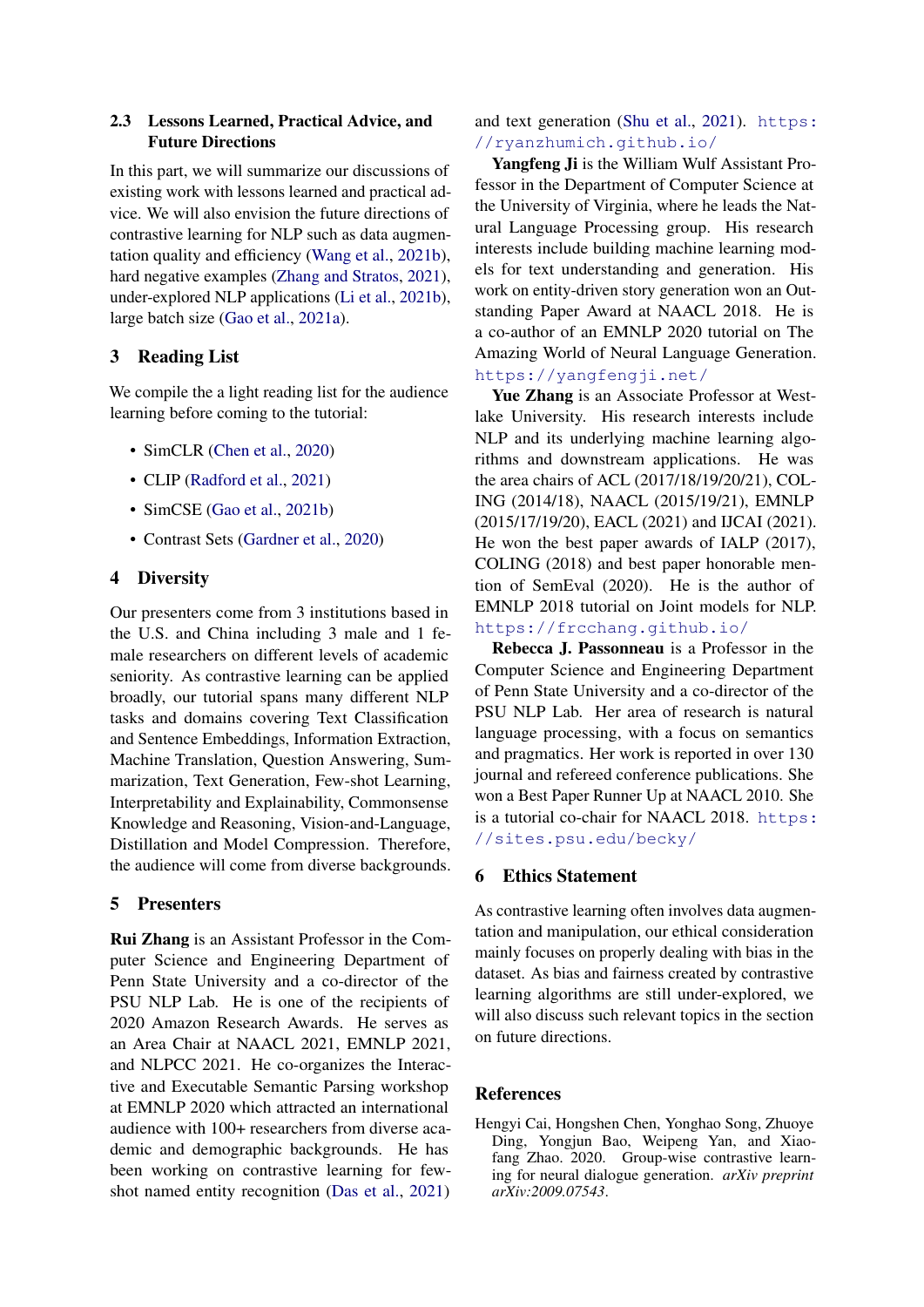# 2.3 Lessons Learned, Practical Advice, and Future Directions

In this part, we will summarize our discussions of existing work with lessons learned and practical advice. We will also envision the future directions of contrastive learning for NLP such as data augmentation quality and efficiency [\(Wang et al.,](#page-7-23) [2021b\)](#page-7-23), hard negative examples [\(Zhang and Stratos,](#page-8-10) [2021\)](#page-8-10), under-explored NLP applications [\(Li et al.,](#page-5-16) [2021b\)](#page-5-16), large batch size [\(Gao et al.,](#page-4-23) [2021a\)](#page-4-23).

# 3 Reading List

We compile the a light reading list for the audience learning before coming to the tutorial:

- SimCLR [\(Chen et al.,](#page-4-4) [2020\)](#page-4-4)
- CLIP [\(Radford et al.,](#page-6-5) [2021\)](#page-6-5)
- SimCSE [\(Gao et al.,](#page-4-5) [2021b\)](#page-4-5)
- Contrast Sets [\(Gardner et al.,](#page-4-18) [2020\)](#page-4-18)

### 4 Diversity

Our presenters come from 3 institutions based in the U.S. and China including 3 male and 1 female researchers on different levels of academic seniority. As contrastive learning can be applied broadly, our tutorial spans many different NLP tasks and domains covering Text Classification and Sentence Embeddings, Information Extraction, Machine Translation, Question Answering, Summarization, Text Generation, Few-shot Learning, Interpretability and Explainability, Commonsense Knowledge and Reasoning, Vision-and-Language, Distillation and Model Compression. Therefore, the audience will come from diverse backgrounds.

# 5 Presenters

Rui Zhang is an Assistant Professor in the Computer Science and Engineering Department of Penn State University and a co-director of the PSU NLP Lab. He is one of the recipients of 2020 Amazon Research Awards. He serves as an Area Chair at NAACL 2021, EMNLP 2021, and NLPCC 2021. He co-organizes the Interactive and Executable Semantic Parsing workshop at EMNLP 2020 which attracted an international audience with 100+ researchers from diverse academic and demographic backgrounds. He has been working on contrastive learning for fewshot named entity recognition [\(Das et al.,](#page-4-15) [2021\)](#page-4-15) and text generation [\(Shu et al.,](#page-7-15) [2021\)](#page-7-15). [https:](https://ryanzhumich.github.io/) [//ryanzhumich.github.io/](https://ryanzhumich.github.io/)

Yangfeng Ji is the William Wulf Assistant Professor in the Department of Computer Science at the University of Virginia, where he leads the Natural Language Processing group. His research interests include building machine learning models for text understanding and generation. His work on entity-driven story generation won an Outstanding Paper Award at NAACL 2018. He is a co-author of an EMNLP 2020 tutorial on The Amazing World of Neural Language Generation. <https://yangfengji.net/>

Yue Zhang is an Associate Professor at Westlake University. His research interests include NLP and its underlying machine learning algorithms and downstream applications. He was the area chairs of ACL (2017/18/19/20/21), COL-ING (2014/18), NAACL (2015/19/21), EMNLP (2015/17/19/20), EACL (2021) and IJCAI (2021). He won the best paper awards of IALP (2017), COLING (2018) and best paper honorable mention of SemEval (2020). He is the author of EMNLP 2018 tutorial on Joint models for NLP. <https://frcchang.github.io/>

Rebecca J. Passonneau is a Professor in the Computer Science and Engineering Department of Penn State University and a co-director of the PSU NLP Lab. Her area of research is natural language processing, with a focus on semantics and pragmatics. Her work is reported in over 130 journal and refereed conference publications. She won a Best Paper Runner Up at NAACL 2010. She is a tutorial co-chair for NAACL 2018. [https:](https://sites.psu.edu/becky/) [//sites.psu.edu/becky/](https://sites.psu.edu/becky/)

#### 6 Ethics Statement

As contrastive learning often involves data augmentation and manipulation, our ethical consideration mainly focuses on properly dealing with bias in the dataset. As bias and fairness created by contrastive learning algorithms are still under-explored, we will also discuss such relevant topics in the section on future directions.

### References

<span id="page-3-0"></span>Hengyi Cai, Hongshen Chen, Yonghao Song, Zhuoye Ding, Yongjun Bao, Weipeng Yan, and Xiaofang Zhao. 2020. Group-wise contrastive learning for neural dialogue generation. *arXiv preprint arXiv:2009.07543*.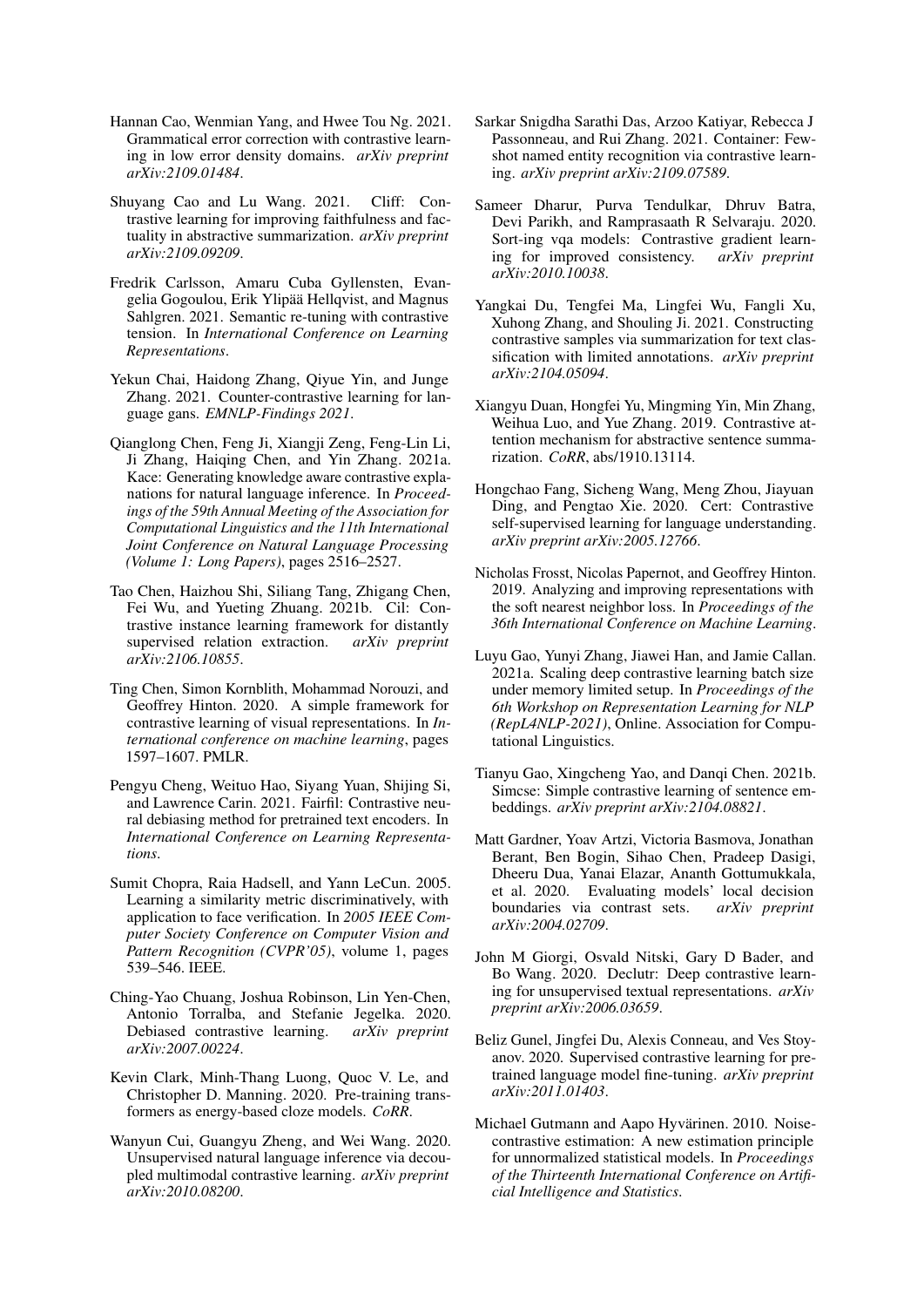- <span id="page-4-14"></span>Hannan Cao, Wenmian Yang, and Hwee Tou Ng. 2021. Grammatical error correction with contrastive learning in low error density domains. *arXiv preprint arXiv:2109.01484*.
- <span id="page-4-12"></span>Shuyang Cao and Lu Wang. 2021. Cliff: Contrastive learning for improving faithfulness and factuality in abstractive summarization. *arXiv preprint arXiv:2109.09209*.
- <span id="page-4-8"></span>Fredrik Carlsson, Amaru Cuba Gyllensten, Evangelia Gogoulou, Erik Ylipää Hellqvist, and Magnus Sahlgren. 2021. Semantic re-tuning with contrastive tension. In *International Conference on Learning Representations*.
- <span id="page-4-13"></span>Yekun Chai, Haidong Zhang, Qiyue Yin, and Junge Zhang. 2021. Counter-contrastive learning for language gans. *EMNLP-Findings 2021*.
- <span id="page-4-19"></span>Qianglong Chen, Feng Ji, Xiangji Zeng, Feng-Lin Li, Ji Zhang, Haiqing Chen, and Yin Zhang. 2021a. Kace: Generating knowledge aware contrastive explanations for natural language inference. In *Proceedings of the 59th Annual Meeting of the Association for Computational Linguistics and the 11th International Joint Conference on Natural Language Processing (Volume 1: Long Papers)*, pages 2516–2527.
- <span id="page-4-10"></span>Tao Chen, Haizhou Shi, Siliang Tang, Zhigang Chen, Fei Wu, and Yueting Zhuang. 2021b. Cil: Contrastive instance learning framework for distantly supervised relation extraction. *arXiv preprint arXiv:2106.10855*.
- <span id="page-4-4"></span>Ting Chen, Simon Kornblith, Mohammad Norouzi, and Geoffrey Hinton. 2020. A simple framework for contrastive learning of visual representations. In *International conference on machine learning*, pages 1597–1607. PMLR.
- <span id="page-4-22"></span>Pengyu Cheng, Weituo Hao, Siyang Yuan, Shijing Si, and Lawrence Carin. 2021. Fairfil: Contrastive neural debiasing method for pretrained text encoders. In *International Conference on Learning Representations*.
- <span id="page-4-0"></span>Sumit Chopra, Raia Hadsell, and Yann LeCun. 2005. Learning a similarity metric discriminatively, with application to face verification. In *2005 IEEE Computer Society Conference on Computer Vision and Pattern Recognition (CVPR'05)*, volume 1, pages 539–546. IEEE.
- <span id="page-4-3"></span>Ching-Yao Chuang, Joshua Robinson, Lin Yen-Chen, Antonio Torralba, and Stefanie Jegelka. 2020. Debiased contrastive learning. *arXiv preprint arXiv:2007.00224*.
- <span id="page-4-17"></span>Kevin Clark, Minh-Thang Luong, Quoc V. Le, and Christopher D. Manning. 2020. Pre-training transformers as energy-based cloze models. *CoRR*.
- <span id="page-4-21"></span>Wanyun Cui, Guangyu Zheng, and Wei Wang. 2020. Unsupervised natural language inference via decoupled multimodal contrastive learning. *arXiv preprint arXiv:2010.08200*.
- <span id="page-4-15"></span>Sarkar Snigdha Sarathi Das, Arzoo Katiyar, Rebecca J Passonneau, and Rui Zhang. 2021. Container: Fewshot named entity recognition via contrastive learning. *arXiv preprint arXiv:2109.07589*.
- <span id="page-4-20"></span>Sameer Dharur, Purva Tendulkar, Dhruv Batra, Devi Parikh, and Ramprasaath R Selvaraju. 2020. Sort-ing vqa models: Contrastive gradient learning for improved consistency. *arXiv preprint arXiv:2010.10038*.
- <span id="page-4-7"></span>Yangkai Du, Tengfei Ma, Lingfei Wu, Fangli Xu, Xuhong Zhang, and Shouling Ji. 2021. Constructing contrastive samples via summarization for text classification with limited annotations. *arXiv preprint arXiv:2104.05094*.
- <span id="page-4-11"></span>Xiangyu Duan, Hongfei Yu, Mingming Yin, Min Zhang, Weihua Luo, and Yue Zhang. 2019. Contrastive attention mechanism for abstractive sentence summarization. *CoRR*, abs/1910.13114.
- <span id="page-4-6"></span>Hongchao Fang, Sicheng Wang, Meng Zhou, Jiayuan Ding, and Pengtao Xie. 2020. Cert: Contrastive self-supervised learning for language understanding. *arXiv preprint arXiv:2005.12766*.
- <span id="page-4-2"></span>Nicholas Frosst, Nicolas Papernot, and Geoffrey Hinton. 2019. Analyzing and improving representations with the soft nearest neighbor loss. In *Proceedings of the 36th International Conference on Machine Learning*.
- <span id="page-4-23"></span>Luyu Gao, Yunyi Zhang, Jiawei Han, and Jamie Callan. 2021a. Scaling deep contrastive learning batch size under memory limited setup. In *Proceedings of the 6th Workshop on Representation Learning for NLP (RepL4NLP-2021)*, Online. Association for Computational Linguistics.
- <span id="page-4-5"></span>Tianyu Gao, Xingcheng Yao, and Danqi Chen. 2021b. Simcse: Simple contrastive learning of sentence embeddings. *arXiv preprint arXiv:2104.08821*.
- <span id="page-4-18"></span>Matt Gardner, Yoav Artzi, Victoria Basmova, Jonathan Berant, Ben Bogin, Sihao Chen, Pradeep Dasigi, Dheeru Dua, Yanai Elazar, Ananth Gottumukkala, et al. 2020. Evaluating models' local decision boundaries via contrast sets.  $arXiv$  preprint boundaries via contrast sets. *arXiv:2004.02709*.
- <span id="page-4-9"></span>John M Giorgi, Osvald Nitski, Gary D Bader, and Bo Wang. 2020. Declutr: Deep contrastive learning for unsupervised textual representations. *arXiv preprint arXiv:2006.03659*.
- <span id="page-4-16"></span>Beliz Gunel, Jingfei Du, Alexis Conneau, and Ves Stoyanov. 2020. Supervised contrastive learning for pretrained language model fine-tuning. *arXiv preprint arXiv:2011.01403*.
- <span id="page-4-1"></span>Michael Gutmann and Aapo Hyvärinen. 2010. Noisecontrastive estimation: A new estimation principle for unnormalized statistical models. In *Proceedings of the Thirteenth International Conference on Artificial Intelligence and Statistics*.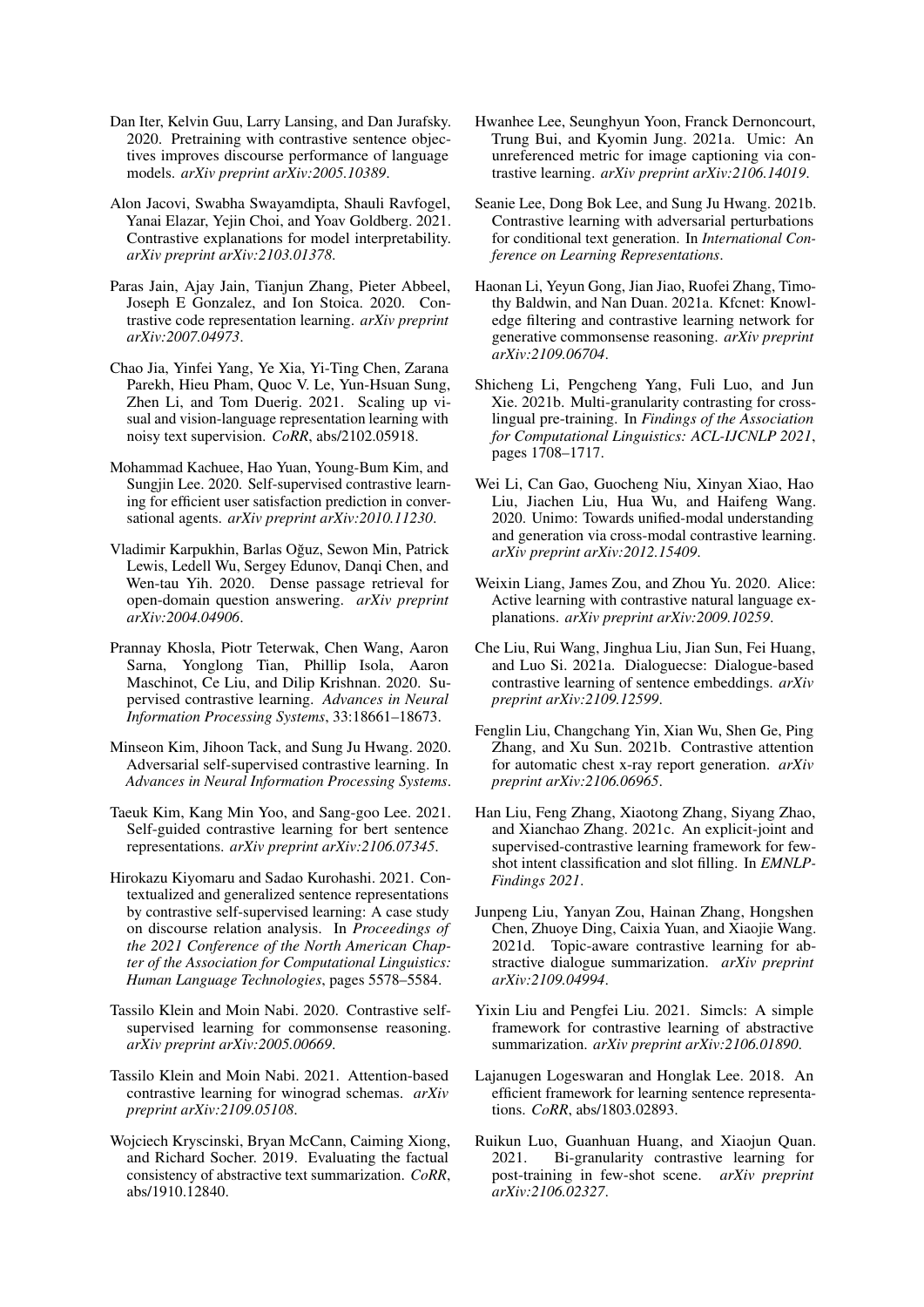- <span id="page-5-7"></span>Dan Iter, Kelvin Guu, Larry Lansing, and Dan Jurafsky. 2020. Pretraining with contrastive sentence objectives improves discourse performance of language models. *arXiv preprint arXiv:2005.10389*.
- <span id="page-5-18"></span>Alon Jacovi, Swabha Swayamdipta, Shauli Ravfogel, Yanai Elazar, Yejin Choi, and Yoav Goldberg. 2021. Contrastive explanations for model interpretability. *arXiv preprint arXiv:2103.01378*.
- <span id="page-5-24"></span>Paras Jain, Ajay Jain, Tianjun Zhang, Pieter Abbeel, Joseph E Gonzalez, and Ion Stoica. 2020. Contrastive code representation learning. *arXiv preprint arXiv:2007.04973*.
- <span id="page-5-22"></span>Chao Jia, Yinfei Yang, Ye Xia, Yi-Ting Chen, Zarana Parekh, Hieu Pham, Quoc V. Le, Yun-Hsuan Sung, Zhen Li, and Tom Duerig. 2021. Scaling up visual and vision-language representation learning with noisy text supervision. *CoRR*, abs/2102.05918.
- <span id="page-5-2"></span>Mohammad Kachuee, Hao Yuan, Young-Bum Kim, and Sungjin Lee. 2020. Self-supervised contrastive learning for efficient user satisfaction prediction in conversational agents. *arXiv preprint arXiv:2010.11230*.
- <span id="page-5-9"></span>Vladimir Karpukhin, Barlas Oguz, Sewon Min, Patrick ˘ Lewis, Ledell Wu, Sergey Edunov, Danqi Chen, and Wen-tau Yih. 2020. Dense passage retrieval for open-domain question answering. *arXiv preprint arXiv:2004.04906*.
- <span id="page-5-0"></span>Prannay Khosla, Piotr Teterwak, Chen Wang, Aaron Sarna, Yonglong Tian, Phillip Isola, Aaron Maschinot, Ce Liu, and Dilip Krishnan. 2020. Supervised contrastive learning. *Advances in Neural Information Processing Systems*, 33:18661–18673.
- <span id="page-5-1"></span>Minseon Kim, Jihoon Tack, and Sung Ju Hwang. 2020. Adversarial self-supervised contrastive learning. In *Advances in Neural Information Processing Systems*.
- <span id="page-5-4"></span>Taeuk Kim, Kang Min Yoo, and Sang-goo Lee. 2021. Self-guided contrastive learning for bert sentence representations. *arXiv preprint arXiv:2106.07345*.
- <span id="page-5-8"></span>Hirokazu Kiyomaru and Sadao Kurohashi. 2021. Contextualized and generalized sentence representations by contrastive self-supervised learning: A case study on discourse relation analysis. In *Proceedings of the 2021 Conference of the North American Chapter of the Association for Computational Linguistics: Human Language Technologies*, pages 5578–5584.
- <span id="page-5-19"></span>Tassilo Klein and Moin Nabi. 2020. Contrastive selfsupervised learning for commonsense reasoning. *arXiv preprint arXiv:2005.00669*.
- <span id="page-5-3"></span>Tassilo Klein and Moin Nabi. 2021. Attention-based contrastive learning for winograd schemas. *arXiv preprint arXiv:2109.05108*.
- <span id="page-5-25"></span>Wojciech Kryscinski, Bryan McCann, Caiming Xiong, and Richard Socher. 2019. Evaluating the factual consistency of abstractive text summarization. *CoRR*, abs/1910.12840.
- <span id="page-5-23"></span>Hwanhee Lee, Seunghyun Yoon, Franck Dernoncourt, Trung Bui, and Kyomin Jung. 2021a. Umic: An unreferenced metric for image captioning via contrastive learning. *arXiv preprint arXiv:2106.14019*.
- <span id="page-5-12"></span>Seanie Lee, Dong Bok Lee, and Sung Ju Hwang. 2021b. Contrastive learning with adversarial perturbations for conditional text generation. In *International Conference on Learning Representations*.
- <span id="page-5-20"></span>Haonan Li, Yeyun Gong, Jian Jiao, Ruofei Zhang, Timothy Baldwin, and Nan Duan. 2021a. Kfcnet: Knowledge filtering and contrastive learning network for generative commonsense reasoning. *arXiv preprint arXiv:2109.06704*.
- <span id="page-5-16"></span>Shicheng Li, Pengcheng Yang, Fuli Luo, and Jun Xie. 2021b. Multi-granularity contrasting for crosslingual pre-training. In *Findings of the Association for Computational Linguistics: ACL-IJCNLP 2021*, pages 1708–1717.
- <span id="page-5-21"></span>Wei Li, Can Gao, Guocheng Niu, Xinyan Xiao, Hao Liu, Jiachen Liu, Hua Wu, and Haifeng Wang. 2020. Unimo: Towards unified-modal understanding and generation via cross-modal contrastive learning. *arXiv preprint arXiv:2012.15409*.
- <span id="page-5-17"></span>Weixin Liang, James Zou, and Zhou Yu. 2020. Alice: Active learning with contrastive natural language explanations. *arXiv preprint arXiv:2009.10259*.
- <span id="page-5-6"></span>Che Liu, Rui Wang, Jinghua Liu, Jian Sun, Fei Huang, and Luo Si. 2021a. Dialoguecse: Dialogue-based contrastive learning of sentence embeddings. *arXiv preprint arXiv:2109.12599*.
- <span id="page-5-13"></span>Fenglin Liu, Changchang Yin, Xian Wu, Shen Ge, Ping Zhang, and Xu Sun. 2021b. Contrastive attention for automatic chest x-ray report generation. *arXiv preprint arXiv:2106.06965*.
- <span id="page-5-14"></span>Han Liu, Feng Zhang, Xiaotong Zhang, Siyang Zhao, and Xianchao Zhang. 2021c. An explicit-joint and supervised-contrastive learning framework for fewshot intent classification and slot filling. In *EMNLP-Findings 2021*.
- <span id="page-5-11"></span>Junpeng Liu, Yanyan Zou, Hainan Zhang, Hongshen Chen, Zhuoye Ding, Caixia Yuan, and Xiaojie Wang. 2021d. Topic-aware contrastive learning for abstractive dialogue summarization. *arXiv preprint arXiv:2109.04994*.
- <span id="page-5-10"></span>Yixin Liu and Pengfei Liu. 2021. Simcls: A simple framework for contrastive learning of abstractive summarization. *arXiv preprint arXiv:2106.01890*.
- <span id="page-5-5"></span>Lajanugen Logeswaran and Honglak Lee. 2018. An efficient framework for learning sentence representations. *CoRR*, abs/1803.02893.
- <span id="page-5-15"></span>Ruikun Luo, Guanhuan Huang, and Xiaojun Quan. 2021. Bi-granularity contrastive learning for post-training in few-shot scene. *arXiv preprint arXiv:2106.02327*.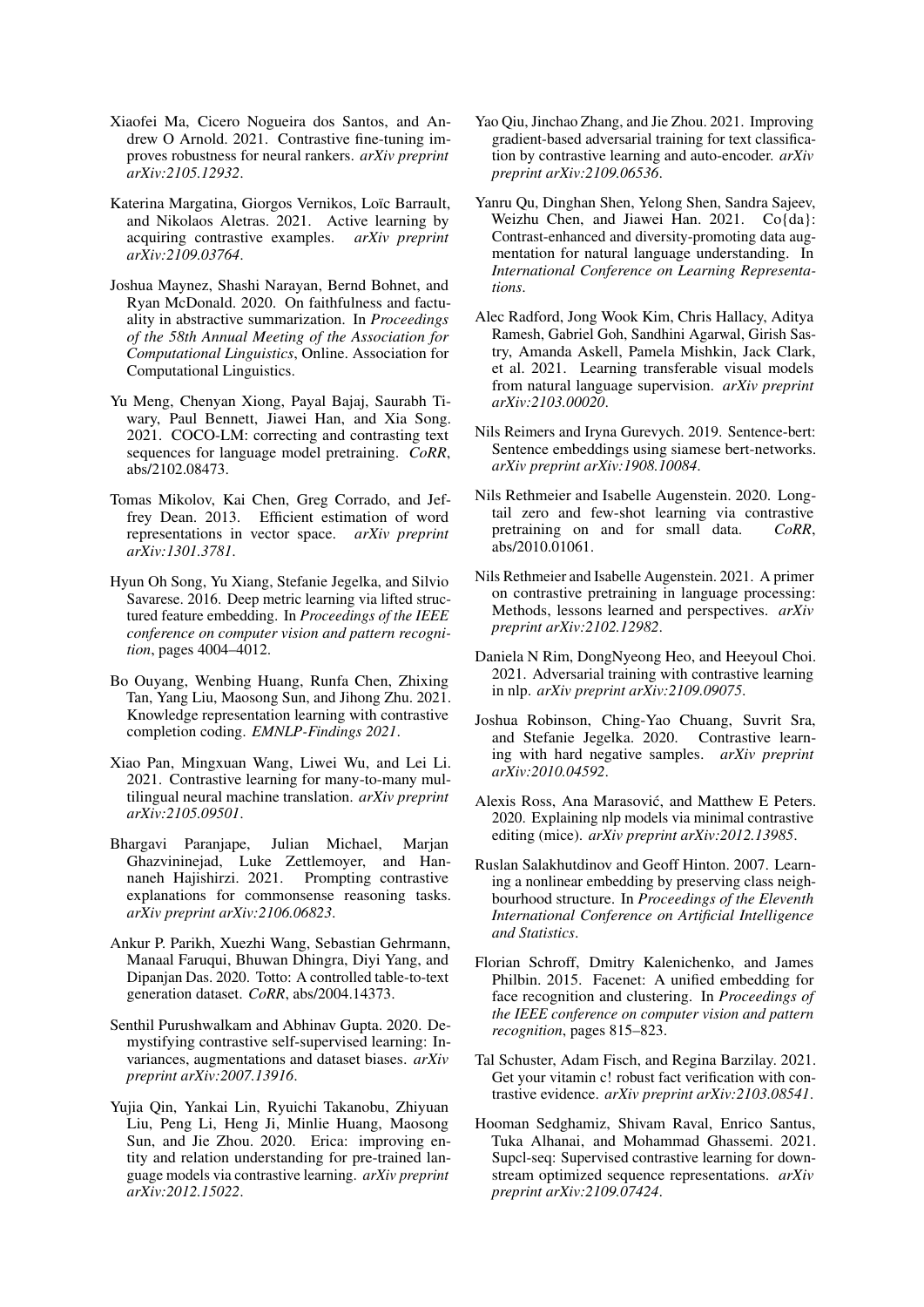- <span id="page-6-19"></span>Xiaofei Ma, Cicero Nogueira dos Santos, and Andrew O Arnold. 2021. Contrastive fine-tuning improves robustness for neural rankers. *arXiv preprint arXiv:2105.12932*.
- <span id="page-6-20"></span>Katerina Margatina, Giorgos Vernikos, Loïc Barrault, and Nikolaos Aletras. 2021. Active learning by acquiring contrastive examples. *arXiv preprint arXiv:2109.03764*.
- <span id="page-6-24"></span>Joshua Maynez, Shashi Narayan, Bernd Bohnet, and Ryan McDonald. 2020. On faithfulness and factuality in abstractive summarization. In *Proceedings of the 58th Annual Meeting of the Association for Computational Linguistics*, Online. Association for Computational Linguistics.
- <span id="page-6-15"></span>Yu Meng, Chenyan Xiong, Payal Bajaj, Saurabh Tiwary, Paul Bennett, Jiawei Han, and Xia Song. 2021. COCO-LM: correcting and contrasting text sequences for language model pretraining. *CoRR*, abs/2102.08473.
- <span id="page-6-4"></span>Tomas Mikolov, Kai Chen, Greg Corrado, and Jeffrey Dean. 2013. Efficient estimation of word representations in vector space. *arXiv preprint arXiv:1301.3781*.
- <span id="page-6-1"></span>Hyun Oh Song, Yu Xiang, Stefanie Jegelka, and Silvio Savarese. 2016. Deep metric learning via lifted structured feature embedding. In *Proceedings of the IEEE conference on computer vision and pattern recognition*, pages 4004–4012.
- <span id="page-6-21"></span>Bo Ouyang, Wenbing Huang, Runfa Chen, Zhixing Tan, Yang Liu, Maosong Sun, and Jihong Zhu. 2021. Knowledge representation learning with contrastive completion coding. *EMNLP-Findings 2021*.
- <span id="page-6-12"></span>Xiao Pan, Mingxuan Wang, Liwei Wu, and Lei Li. 2021. Contrastive learning for many-to-many multilingual neural machine translation. *arXiv preprint arXiv:2105.09501*.
- <span id="page-6-17"></span>Bhargavi Paranjape, Julian Michael, Marjan Ghazvininejad, Luke Zettlemoyer, and Hannaneh Hajishirzi. 2021. Prompting contrastive explanations for commonsense reasoning tasks. *arXiv preprint arXiv:2106.06823*.
- <span id="page-6-23"></span>Ankur P. Parikh, Xuezhi Wang, Sebastian Gehrmann, Manaal Faruqui, Bhuwan Dhingra, Diyi Yang, and Dipanjan Das. 2020. Totto: A controlled table-to-text generation dataset. *CoRR*, abs/2004.14373.
- <span id="page-6-6"></span>Senthil Purushwalkam and Abhinav Gupta. 2020. Demystifying contrastive self-supervised learning: Invariances, augmentations and dataset biases. *arXiv preprint arXiv:2007.13916*.
- <span id="page-6-11"></span>Yujia Qin, Yankai Lin, Ryuichi Takanobu, Zhiyuan Liu, Peng Li, Heng Ji, Minlie Huang, Maosong Sun, and Jie Zhou. 2020. Erica: improving entity and relation understanding for pre-trained language models via contrastive learning. *arXiv preprint arXiv:2012.15022*.
- <span id="page-6-8"></span>Yao Qiu, Jinchao Zhang, and Jie Zhou. 2021. Improving gradient-based adversarial training for text classification by contrastive learning and auto-encoder. *arXiv preprint arXiv:2109.06536*.
- <span id="page-6-7"></span>Yanru Qu, Dinghan Shen, Yelong Shen, Sandra Sajeev, Weizhu Chen, and Jiawei Han. 2021. Co{da}: Contrast-enhanced and diversity-promoting data augmentation for natural language understanding. In *International Conference on Learning Representations*.
- <span id="page-6-5"></span>Alec Radford, Jong Wook Kim, Chris Hallacy, Aditya Ramesh, Gabriel Goh, Sandhini Agarwal, Girish Sastry, Amanda Askell, Pamela Mishkin, Jack Clark, et al. 2021. Learning transferable visual models from natural language supervision. *arXiv preprint arXiv:2103.00020*.
- <span id="page-6-10"></span>Nils Reimers and Iryna Gurevych. 2019. Sentence-bert: Sentence embeddings using siamese bert-networks. *arXiv preprint arXiv:1908.10084*.
- <span id="page-6-13"></span>Nils Rethmeier and Isabelle Augenstein. 2020. Longtail zero and few-shot learning via contrastive pretraining on and for small data. *CoRR*, abs/2010.01061.
- <span id="page-6-14"></span>Nils Rethmeier and Isabelle Augenstein. 2021. A primer on contrastive pretraining in language processing: Methods, lessons learned and perspectives. *arXiv preprint arXiv:2102.12982*.
- <span id="page-6-22"></span>Daniela N Rim, DongNyeong Heo, and Heeyoul Choi. 2021. Adversarial training with contrastive learning in nlp. *arXiv preprint arXiv:2109.09075*.
- <span id="page-6-3"></span>Joshua Robinson, Ching-Yao Chuang, Suvrit Sra, and Stefanie Jegelka. 2020. Contrastive learning with hard negative samples. *arXiv preprint arXiv:2010.04592*.
- <span id="page-6-16"></span>Alexis Ross, Ana Marasović, and Matthew E Peters. 2020. Explaining nlp models via minimal contrastive editing (mice). *arXiv preprint arXiv:2012.13985*.
- <span id="page-6-2"></span>Ruslan Salakhutdinov and Geoff Hinton. 2007. Learning a nonlinear embedding by preserving class neighbourhood structure. In *Proceedings of the Eleventh International Conference on Artificial Intelligence and Statistics*.
- <span id="page-6-0"></span>Florian Schroff, Dmitry Kalenichenko, and James Philbin. 2015. Facenet: A unified embedding for face recognition and clustering. In *Proceedings of the IEEE conference on computer vision and pattern recognition*, pages 815–823.
- <span id="page-6-18"></span>Tal Schuster, Adam Fisch, and Regina Barzilay. 2021. Get your vitamin c! robust fact verification with contrastive evidence. *arXiv preprint arXiv:2103.08541*.
- <span id="page-6-9"></span>Hooman Sedghamiz, Shivam Raval, Enrico Santus, Tuka Alhanai, and Mohammad Ghassemi. 2021. Supcl-seq: Supervised contrastive learning for downstream optimized sequence representations. *arXiv preprint arXiv:2109.07424*.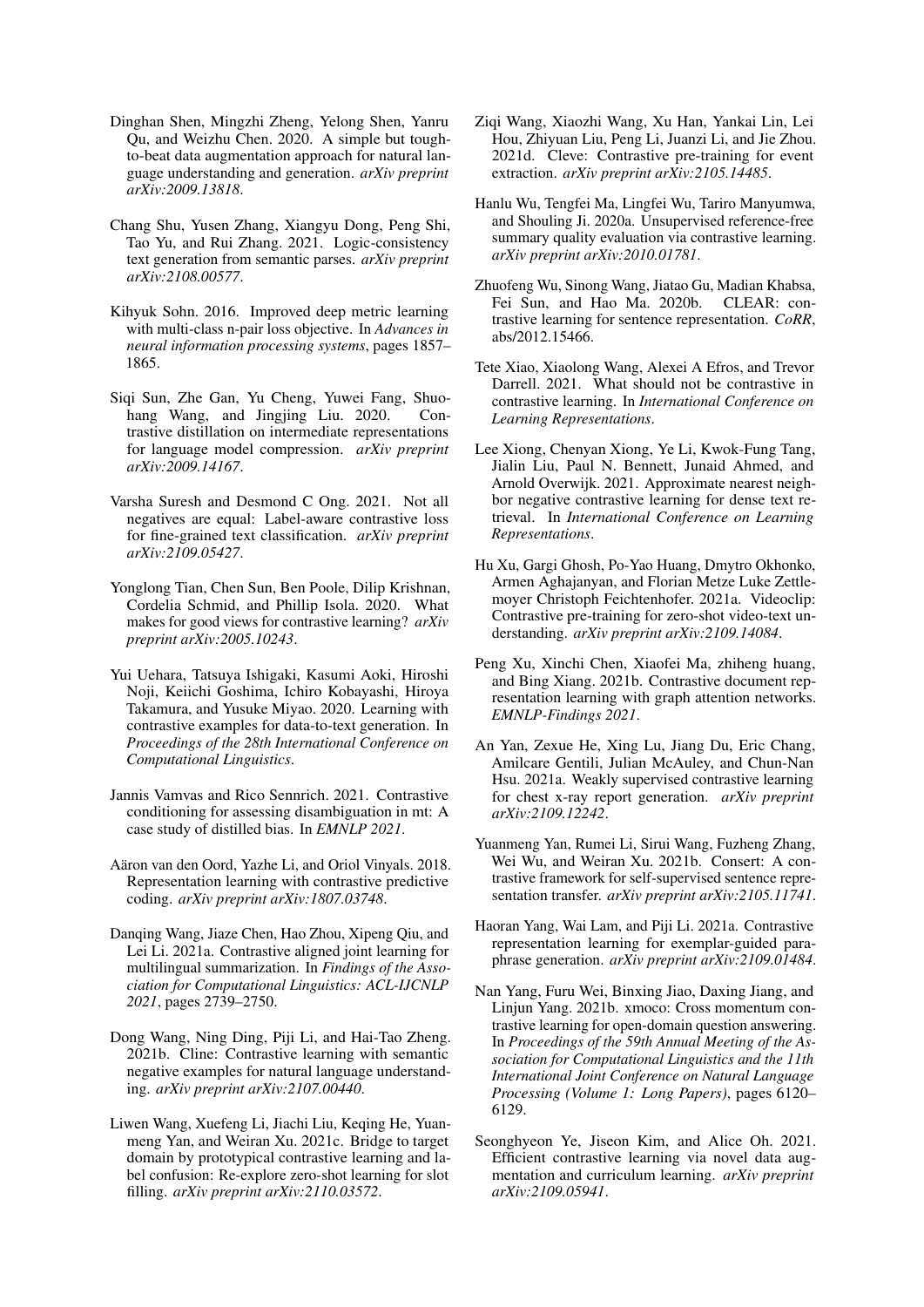- <span id="page-7-4"></span>Dinghan Shen, Mingzhi Zheng, Yelong Shen, Yanru Qu, and Weizhu Chen. 2020. A simple but toughto-beat data augmentation approach for natural language understanding and generation. *arXiv preprint arXiv:2009.13818*.
- <span id="page-7-15"></span>Chang Shu, Yusen Zhang, Xiangyu Dong, Peng Shi, Tao Yu, and Rui Zhang. 2021. Logic-consistency text generation from semantic parses. *arXiv preprint arXiv:2108.00577*.
- <span id="page-7-0"></span>Kihyuk Sohn. 2016. Improved deep metric learning with multi-class n-pair loss objective. In *Advances in neural information processing systems*, pages 1857– 1865.
- <span id="page-7-22"></span>Siqi Sun, Zhe Gan, Yu Cheng, Yuwei Fang, Shuohang Wang, and Jingjing Liu. 2020. Contrastive distillation on intermediate representations for language model compression. *arXiv preprint arXiv:2009.14167*.
- <span id="page-7-6"></span>Varsha Suresh and Desmond C Ong. 2021. Not all negatives are equal: Label-aware contrastive loss for fine-grained text classification. *arXiv preprint arXiv:2109.05427*.
- <span id="page-7-2"></span>Yonglong Tian, Chen Sun, Ben Poole, Dilip Krishnan, Cordelia Schmid, and Phillip Isola. 2020. What makes for good views for contrastive learning? *arXiv preprint arXiv:2005.10243*.
- <span id="page-7-18"></span>Yui Uehara, Tatsuya Ishigaki, Kasumi Aoki, Hiroshi Noji, Keiichi Goshima, Ichiro Kobayashi, Hiroya Takamura, and Yusuke Miyao. 2020. Learning with contrastive examples for data-to-text generation. In *Proceedings of the 28th International Conference on Computational Linguistics*.
- <span id="page-7-11"></span>Jannis Vamvas and Rico Sennrich. 2021. Contrastive conditioning for assessing disambiguation in mt: A case study of distilled bias. In *EMNLP 2021*.
- <span id="page-7-1"></span>Aäron van den Oord, Yazhe Li, and Oriol Vinyals. 2018. Representation learning with contrastive predictive coding. *arXiv preprint arXiv:1807.03748*.
- <span id="page-7-14"></span>Danqing Wang, Jiaze Chen, Hao Zhou, Xipeng Qiu, and Lei Li. 2021a. Contrastive aligned joint learning for multilingual summarization. In *Findings of the Association for Computational Linguistics: ACL-IJCNLP 2021*, pages 2739–2750.
- <span id="page-7-23"></span>Dong Wang, Ning Ding, Piji Li, and Hai-Tao Zheng. 2021b. Cline: Contrastive learning with semantic negative examples for natural language understanding. *arXiv preprint arXiv:2107.00440*.
- <span id="page-7-19"></span>Liwen Wang, Xuefeng Li, Jiachi Liu, Keqing He, Yuanmeng Yan, and Weiran Xu. 2021c. Bridge to target domain by prototypical contrastive learning and label confusion: Re-explore zero-shot learning for slot filling. *arXiv preprint arXiv:2110.03572*.
- <span id="page-7-10"></span>Ziqi Wang, Xiaozhi Wang, Xu Han, Yankai Lin, Lei Hou, Zhiyuan Liu, Peng Li, Juanzi Li, and Jie Zhou. 2021d. Cleve: Contrastive pre-training for event extraction. *arXiv preprint arXiv:2105.14485*.
- <span id="page-7-13"></span>Hanlu Wu, Tengfei Ma, Lingfei Wu, Tariro Manyumwa, and Shouling Ji. 2020a. Unsupervised reference-free summary quality evaluation via contrastive learning. *arXiv preprint arXiv:2010.01781*.
- <span id="page-7-20"></span>Zhuofeng Wu, Sinong Wang, Jiatao Gu, Madian Khabsa, Fei Sun, and Hao Ma. 2020b. CLEAR: contrastive learning for sentence representation. *CoRR*, abs/2012.15466.
- <span id="page-7-3"></span>Tete Xiao, Xiaolong Wang, Alexei A Efros, and Trevor Darrell. 2021. What should not be contrastive in contrastive learning. In *International Conference on Learning Representations*.
- <span id="page-7-7"></span>Lee Xiong, Chenyan Xiong, Ye Li, Kwok-Fung Tang, Jialin Liu, Paul N. Bennett, Junaid Ahmed, and Arnold Overwijk. 2021. Approximate nearest neighbor negative contrastive learning for dense text retrieval. In *International Conference on Learning Representations*.
- <span id="page-7-21"></span>Hu Xu, Gargi Ghosh, Po-Yao Huang, Dmytro Okhonko, Armen Aghajanyan, and Florian Metze Luke Zettlemoyer Christoph Feichtenhofer. 2021a. Videoclip: Contrastive pre-training for zero-shot video-text understanding. *arXiv preprint arXiv:2109.14084*.
- <span id="page-7-8"></span>Peng Xu, Xinchi Chen, Xiaofei Ma, zhiheng huang, and Bing Xiang. 2021b. Contrastive document representation learning with graph attention networks. *EMNLP-Findings 2021*.
- <span id="page-7-17"></span>An Yan, Zexue He, Xing Lu, Jiang Du, Eric Chang, Amilcare Gentili, Julian McAuley, and Chun-Nan Hsu. 2021a. Weakly supervised contrastive learning for chest x-ray report generation. *arXiv preprint arXiv:2109.12242*.
- <span id="page-7-9"></span>Yuanmeng Yan, Rumei Li, Sirui Wang, Fuzheng Zhang, Wei Wu, and Weiran Xu. 2021b. Consert: A contrastive framework for self-supervised sentence representation transfer. *arXiv preprint arXiv:2105.11741*.
- <span id="page-7-16"></span>Haoran Yang, Wai Lam, and Piji Li. 2021a. Contrastive representation learning for exemplar-guided paraphrase generation. *arXiv preprint arXiv:2109.01484*.
- <span id="page-7-12"></span>Nan Yang, Furu Wei, Binxing Jiao, Daxing Jiang, and Linjun Yang. 2021b. xmoco: Cross momentum contrastive learning for open-domain question answering. In *Proceedings of the 59th Annual Meeting of the Association for Computational Linguistics and the 11th International Joint Conference on Natural Language Processing (Volume 1: Long Papers)*, pages 6120– 6129.
- <span id="page-7-5"></span>Seonghyeon Ye, Jiseon Kim, and Alice Oh. 2021. Efficient contrastive learning via novel data augmentation and curriculum learning. *arXiv preprint arXiv:2109.05941*.